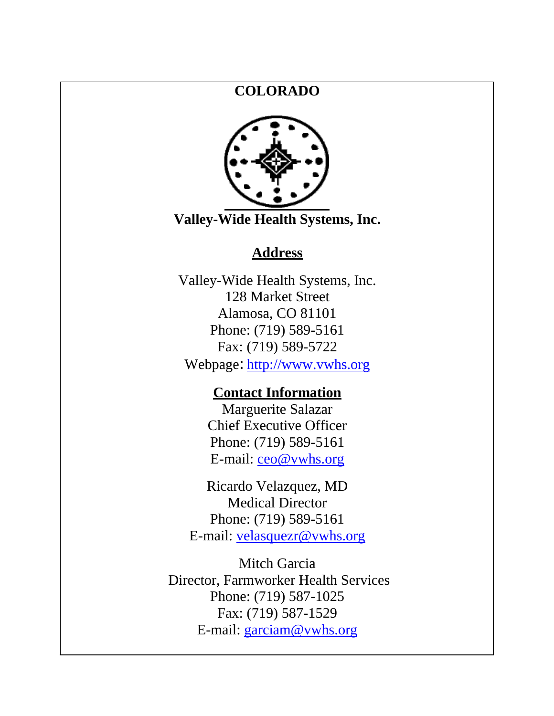#### **COLORADO**



**Valley-Wide Health Systems, Inc.**

#### **Address**

Valley-Wide Health Systems, Inc. 128 Market Street Alamosa, CO 81101 Phone: (719) 589-5161 Fax: (719) 589-5722

Webpage: [http://www.vwhs.org](http://www.vwhs.org/)

#### **Contact Information**

Marguerite Salazar Chief Executive Officer Phone: (719) 589-5161 E-mail: [ceo@vwhs.org](mailto:ceo@vwhs.org)

Ricardo Velazquez, MD Medical Director Phone: (719) 589-5161 E-mail: [velasquezr@vwhs.org](mailto:velasquezr@vwhs.org)

Mitch Garcia Director, Farmworker Health Services Phone: (719) 587-1025 Fax: (719) 587-1529 E-mail: [garciam@vwhs.org](mailto:garciam@vwhs.org)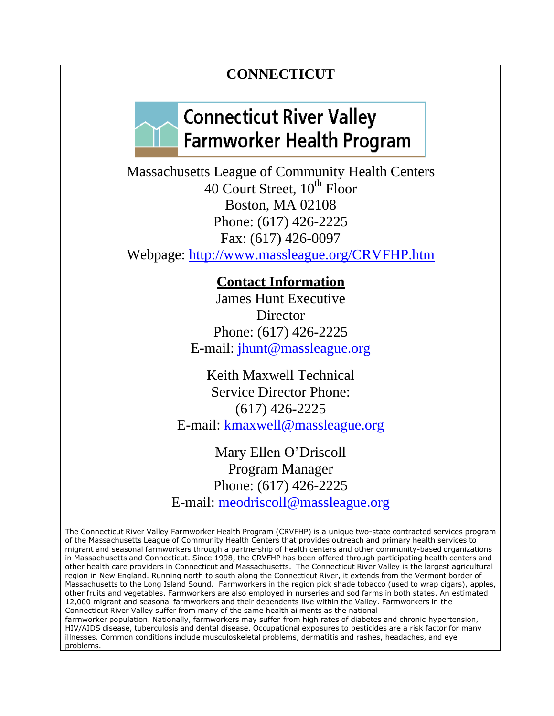#### **CONNECTICUT**

### **Connecticut River Valley Farmworker Health Program**

Massachusetts League of Community Health Centers 40 Court Street,  $10^{th}$  Floor Boston, MA 02108 Phone: (617) 426-2225 Fax: (617) 426-0097 Webpage:<http://www.massleague.org/CRVFHP.htm>

**Contact Information**

James Hunt Executive **Director** Phone: (617) 426-2225 E-mail: [jhunt@massleague.org](mailto:jhunt@massleague.org)

Keith Maxwell Technical Service Director Phone: (617) 426-2225 E-mail: [kmaxwell@massleague.org](mailto:kmaxwell@massleague.org)

Mary Ellen O'Driscoll Program Manager Phone: (617) 426-2225 E-mail: [meodriscoll@massleague.org](mailto:meodriscoll@massleague.org)

The Connecticut River Valley Farmworker Health Program (CRVFHP) is a unique two-state contracted services program of the Massachusetts League of Community Health Centers that provides outreach and primary health services to migrant and seasonal farmworkers through a partnership of health centers and other community-based organizations in Massachusetts and Connecticut. Since 1998, the CRVFHP has been offered through participating health centers and other health care providers in Connecticut and Massachusetts. The Connecticut River Valley is the largest agricultural region in New England. Running north to south along the Connecticut River, it extends from the Vermont border of Massachusetts to the Long Island Sound. Farmworkers in the region pick shade tobacco (used to wrap cigars), apples, other fruits and vegetables. Farmworkers are also employed in nurseries and sod farms in both states. An estimated 12,000 migrant and seasonal farmworkers and their dependents live within the Valley. Farmworkers in the Connecticut River Valley suffer from many of the same health ailments as the national farmworker population. Nationally, farmworkers may suffer from high rates of diabetes and chronic hypertension, HIV/AIDS disease, tuberculosis and dental disease. Occupational exposures to pesticides are a risk factor for many illnesses. Common conditions include musculoskeletal problems, dermatitis and rashes, headaches, and eye problems.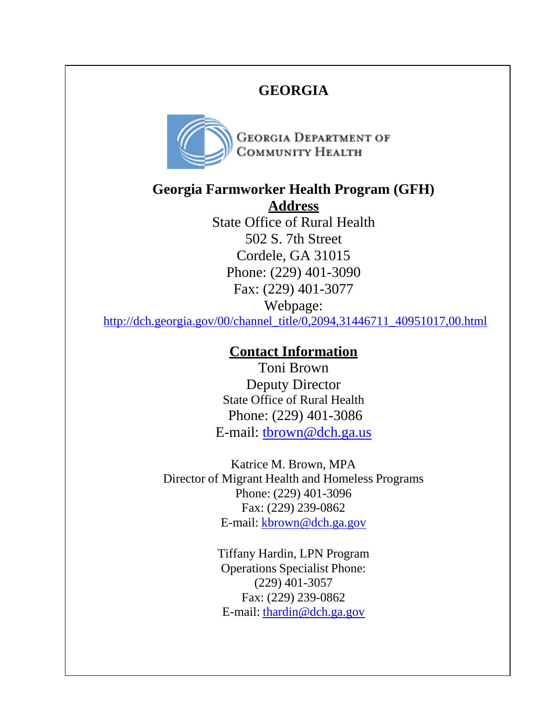#### **GEORGIA**



**GEORGIA DEPARTMENT OF** COMMUNITY HEALTH

**Georgia Farmworker Health Program (GFH)** 

**Address** State Office of Rural Health 502 S. 7th Street Cordele, GA 31015 Phone: (229) 401-3090 Fax: (229) 401-3077 Webpage:

[http://dch.georgia.gov/00/channel\\_title/0,2094,31446711\\_40951017,00.html](http://dch.georgia.gov/00/channel_title/0%2C2094%2C31446711_40951017%2C00.html)

#### **Contact Information**

Toni Brown Deputy Director State Office of Rural Health Phone: (229) 401-3086 E-mail: [tbrown@dch.ga.us](mailto:tbrown@dch.ga.us)

Katrice M. Brown, MPA Director of Migrant Health and Homeless Programs Phone: (229) 401-3096 Fax: (229) 239-0862 E-mail: [kbrown@dch.ga.gov](mailto:kbrown@dch.ga.gov)

> Tiffany Hardin, LPN Program Operations Specialist Phone: (229) 401-3057 Fax: (229) 239-0862 E-mail: [thardin@dch.ga.gov](mailto:thardin@dch.ga.gov)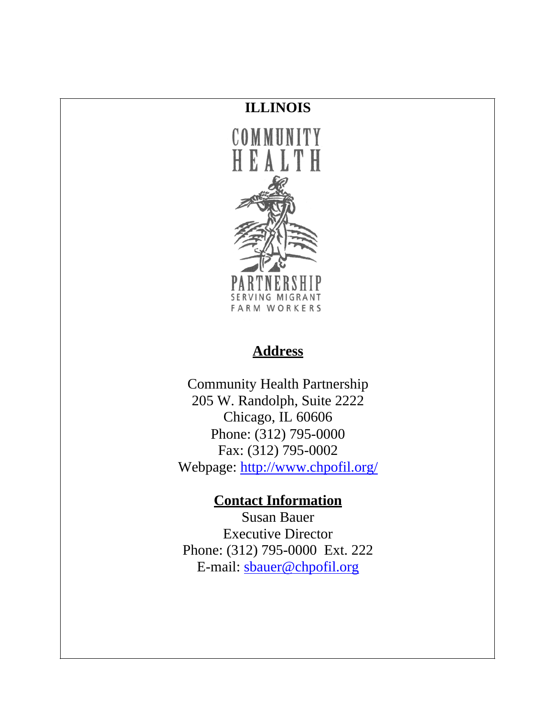#### **ILLINOIS**



#### **Address**

Community Health Partnership 205 W. Randolph, Suite 2222 Chicago, IL 60606 Phone: (312) 795-0000 Fax: (312) 795-0002 Webpage:<http://www.chpofil.org/>

### **Contact Information**

Susan Bauer Executive Director Phone: (312) 795-0000 Ext. 222 E-mail: [sbauer@chpofil.org](mailto:sbauerchp@chpofil.org)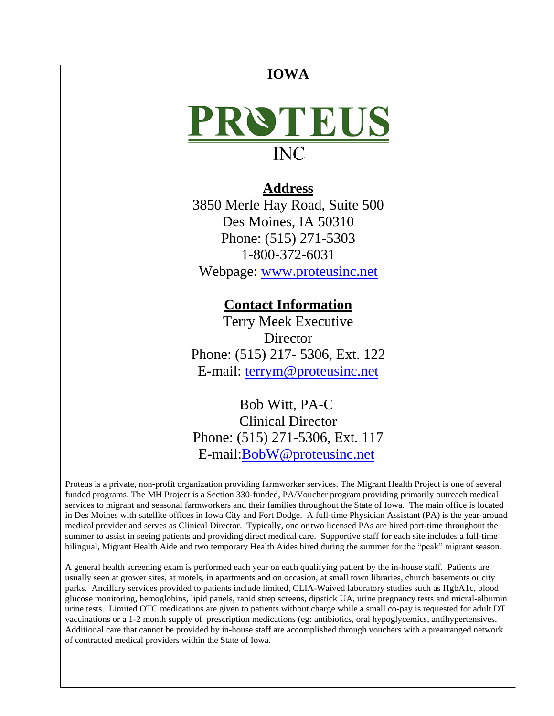#### **IOWA**



#### **Address**

3850 Merle Hay Road, Suite 500 Des Moines, IA 50310 Phone: (515) 271-5303 1-800-372-6031 Webpage: [www.proteusinc.net](http://www.proteusinc.net/)

#### **Contact Information**

Terry Meek Executive **Director** Phone: (515) 217- 5306, Ext. 122 E-mail: [terrym@proteusinc.net](mailto:terrym@proteusinc.net)

Bob Witt, PA-C Clinical Director Phone: (515) 271-5306, Ext. 117 E-mail[:BobW@proteusinc.net](mailto:BobW@proteusinc.net)

Proteus is a private, non-profit organization providing farmworker services. The Migrant Health Project is one of several funded programs. The MH Project is a Section 330-funded, PA/Voucher program providing primarily outreach medical services to migrant and seasonal farmworkers and their families throughout the State of Iowa. The main office is located in Des Moines with satellite offices in Iowa City and Fort Dodge. A full-time Physician Assistant (PA) is the year-around medical provider and serves as Clinical Director. Typically, one or two licensed PAs are hired part-time throughout the summer to assist in seeing patients and providing direct medical care. Supportive staff for each site includes a full-time bilingual, Migrant Health Aide and two temporary Health Aides hired during the summer for the "peak" migrant season.

A general health screening exam is performed each year on each qualifying patient by the in-house staff. Patients are usually seen at grower sites, at motels, in apartments and on occasion, at small town libraries, church basements or city parks. Ancillary services provided to patients include limited, CLIA-Waived laboratory studies such as HgbA1c, blood glucose monitoring, hemoglobins, lipid panels, rapid strep screens, dipstick UA, urine pregnancy tests and micral-albumin urine tests. Limited OTC medications are given to patients without charge while a small co-pay is requested for adult DT vaccinations or a 1-2 month supply of prescription medications (eg: antibiotics, oral hypoglycemics, antihypertensives. Additional care that cannot be provided by in-house staff are accomplished through vouchers with a prearranged network of contracted medical providers within the State of Iowa.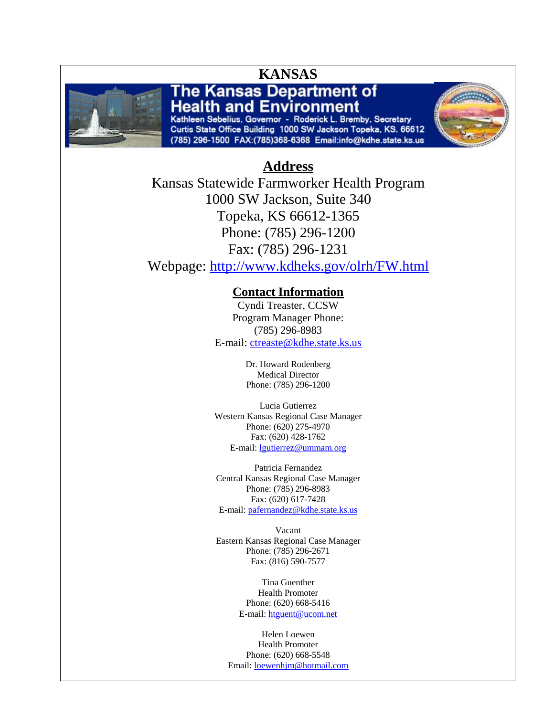

Kathleen Sebelius, Governor - Roderick L. Bremby, Secretary Curtis State Office Building 1000 SW Jackson Topeka, KS. 66612 (785) 296-1500 FAX:(785)368-6368 Email:info@kdhe.state.ks.us



#### **Address**

Kansas Statewide Farmworker Health Program 1000 SW Jackson, Suite 340 Topeka, KS 66612-1365 Phone: (785) 296-1200 Fax: (785) 296-1231 Webpage:<http://www.kdheks.gov/olrh/FW.html>

#### **Contact Information**

Cyndi Treaster, CCSW Program Manager Phone: (785) 296-8983 E-mail: [ctreaste@kdhe.state.ks.us](mailto:ctreaste@kdhe.state.ks.us)

> Dr. Howard Rodenberg Medical Director Phone: (785) 296-1200

Lucia Gutierrez Western Kansas Regional Case Manager Phone: (620) 275-4970 Fax: (620) 428-1762 E-mail: [lgutierrez@ummam.org](mailto:lgutierrez@ummam.org)

Patricia Fernandez Central Kansas Regional Case Manager Phone: (785) 296-8983 Fax: (620) 617-7428 E-mail: [pafernandez@kdhe.state.ks.us](mailto:pafernandez@kdhe.state.ks.us)

Vacant Eastern Kansas Regional Case Manager Phone: (785) 296-2671 Fax: (816) 590-7577

> Tina Guenther Health Promoter Phone: (620) 668-5416 E-mail: [htguent@ucom.net](mailto:htguent@ucom.net)

Helen Loewen Health Promoter Phone: (620) 668-5548 Email: [loewenhjm@hotmail.com](mailto:loewenhjm@hotmail.com)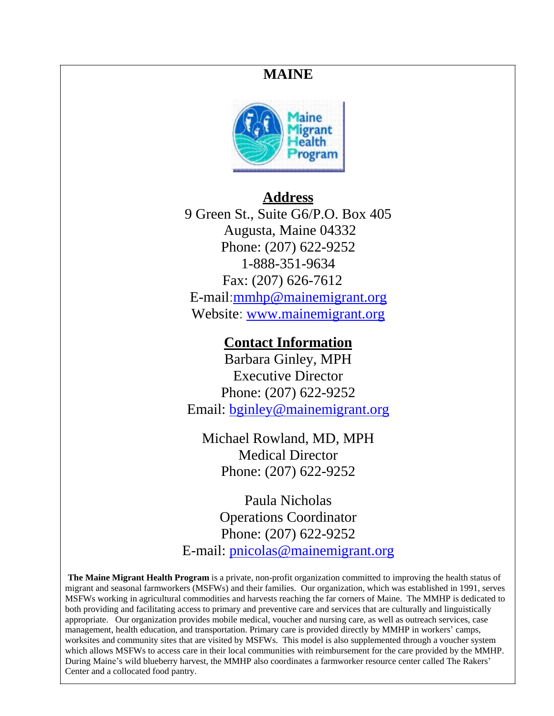#### **MAINE**



#### **Address**

9 Green St., Suite G6/P.O. Box 405 Augusta, Maine 04332 Phone: (207) 622-9252 1-888-351-9634 Fax: (207) 626-7612 E-mail[:mmhp@mainemigrant.org](mailto:mmhp@mainemigrant.org) Website: [www.mainemigrant.org](http://www.mainemigrant.org/)

#### **Contact Information**

Barbara Ginley, MPH Executive Director Phone: (207) 622-9252 Email: [bginley@mainemigrant.org](mailto:bginley@mainemigrant.org)

Michael Rowland, MD, MPH Medical Director Phone: (207) 622-9252

Paula Nicholas Operations Coordinator Phone: (207) 622-9252 E-mail: [pnicolas@mainemigrant.org](mailto:pnicolas@mainemigrant.org)

**The Maine Migrant Health Program** is a private, non-profit organization committed to improving the health status of migrant and seasonal farmworkers (MSFWs) and their families. Our organization, which was established in 1991, serves MSFWs working in agricultural commodities and harvests reaching the far corners of Maine. The MMHP is dedicated to both providing and facilitating access to primary and preventive care and services that are culturally and linguistically appropriate. Our organization provides mobile medical, voucher and nursing care, as well as outreach services, case management, health education, and transportation. Primary care is provided directly by MMHP in workers' camps, worksites and community sites that are visited by MSFWs. This model is also supplemented through a voucher system which allows MSFWs to access care in their local communities with reimbursement for the care provided by the MMHP. During Maine's wild blueberry harvest, the MMHP also coordinates a farmworker resource center called The Rakers' Center and a collocated food pantry.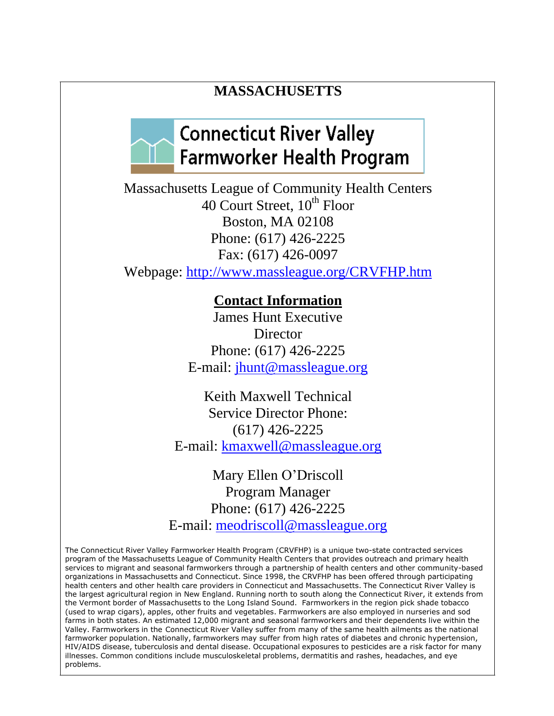#### **MASSACHUSETTS**

### **Connecticut River Valley Farmworker Health Program**

Massachusetts League of Community Health Centers 40 Court Street, 10<sup>th</sup> Floor Boston, MA 02108 Phone: (617) 426-2225 Fax: (617) 426-0097 Webpage:<http://www.massleague.org/CRVFHP.htm>

#### **Contact Information**

James Hunt Executive Director Phone: (617) 426-2225 E-mail: [jhunt@massleague.org](mailto:jhunt@massleague.org)

Keith Maxwell Technical Service Director Phone: (617) 426-2225 E-mail: [kmaxwell@massleague.org](mailto:kmaxwell@massleague.org)

Mary Ellen O'Driscoll Program Manager Phone: (617) 426-2225 E-mail: [meodriscoll@massleague.org](mailto:meodriscoll@massleague.org)

The Connecticut River Valley Farmworker Health Program (CRVFHP) is a unique two-state contracted services program of the Massachusetts League of Community Health Centers that provides outreach and primary health services to migrant and seasonal farmworkers through a partnership of health centers and other community-based organizations in Massachusetts and Connecticut. Since 1998, the CRVFHP has been offered through participating health centers and other health care providers in Connecticut and Massachusetts. The Connecticut River Valley is the largest agricultural region in New England. Running north to south along the Connecticut River, it extends from the Vermont border of Massachusetts to the Long Island Sound. Farmworkers in the region pick shade tobacco (used to wrap cigars), apples, other fruits and vegetables. Farmworkers are also employed in nurseries and sod farms in both states. An estimated 12,000 migrant and seasonal farmworkers and their dependents live within the Valley. Farmworkers in the Connecticut River Valley suffer from many of the same health ailments as the national farmworker population. Nationally, farmworkers may suffer from high rates of diabetes and chronic hypertension, HIV/AIDS disease, tuberculosis and dental disease. Occupational exposures to pesticides are a risk factor for many illnesses. Common conditions include musculoskeletal problems, dermatitis and rashes, headaches, and eye problems.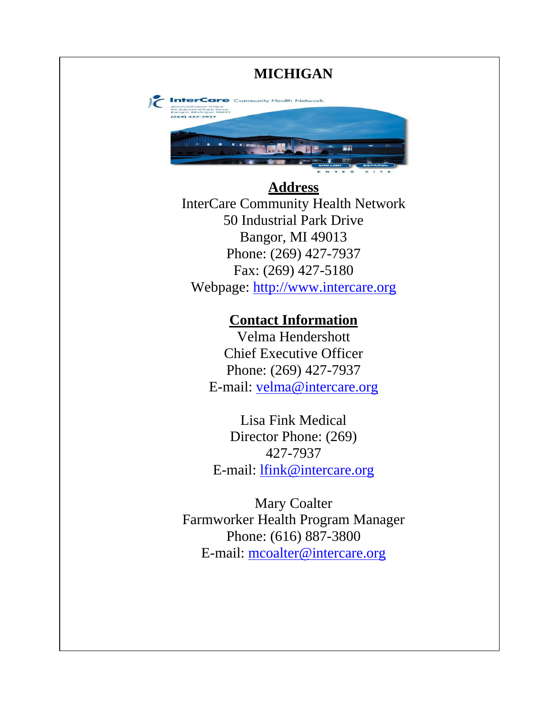## **MICHIGAN**  $\epsilon$  Int Community Health Network 27.7933 **Address** InterCare Community Health Network 50 Industrial Park Drive Bangor, MI 49013 Phone: (269) 427-7937 Fax: (269) 427-5180 Webpage: [http://www.intercare.org](http://www.intercare.org/) **Contact Information** Velma Hendershott Chief Executive Officer Phone: (269) 427-7937 E-mail: [velma@intercare.org](mailto:velma@intercare.org) Lisa Fink Medical Director Phone: (269) 427-7937 E-mail: [lfink@intercare.org](mailto:lfink@intercare.org) Mary Coalter Farmworker Health Program Manager Phone: (616) 887-3800 E-mail: [mcoalter@intercare.org](mailto:mcoalter@intercare.org)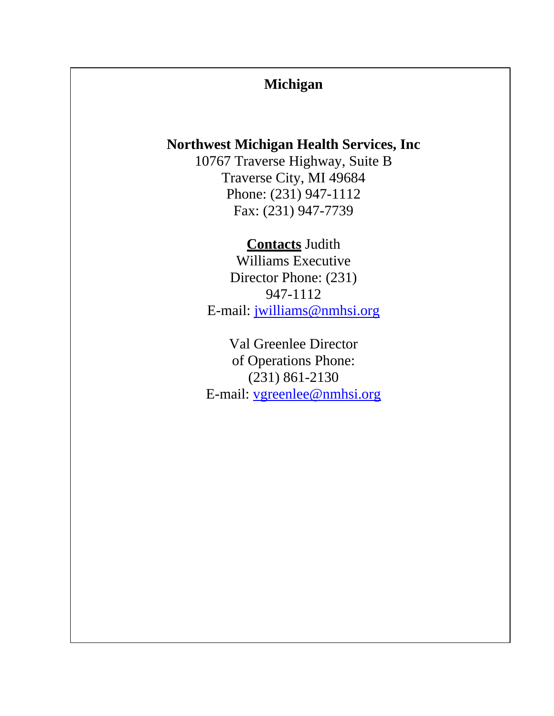#### **Michigan**

#### **Northwest Michigan Health Services, Inc**

10767 Traverse Highway, Suite B Traverse City, MI 49684 Phone: (231) 947-1112 Fax: (231) 947-7739

#### **Contacts** Judith

Williams Executive Director Phone: (231) 947-1112 E-mail: [jwilliams@nmhsi.org](mailto:jwilliams@nmhsi.org)

Val Greenlee Director of Operations Phone: (231) 861-2130 E-mail: [vgreenlee@nmhsi.org](mailto:vgreenlee@nmhsi.org)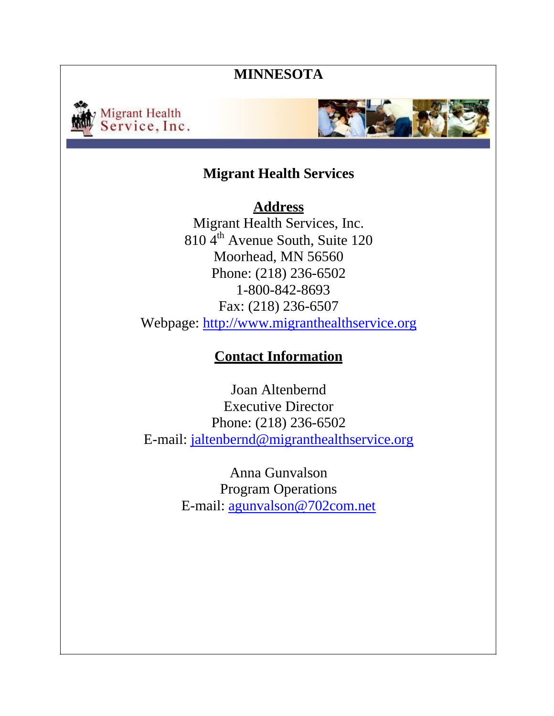#### **MINNESOTA**





#### **Migrant Health Services**

**Address** Migrant Health Services, Inc. 810 4<sup>th</sup> Avenue South, Suite 120 Moorhead, MN 56560 Phone: (218) 236-6502 1-800-842-8693 Fax: (218) 236-6507 Webpage: [http://www.migranthealthservice.org](http://www.migranthealthservice.org/)

#### **Contact Information**

Joan Altenbernd Executive Director Phone: (218) 236-6502 E-mail: [jaltenbernd@migranthealthservice.org](mailto:jaltenbernd@migranthealthservice.org)

> Anna Gunvalson Program Operations E-mail: [agunvalson@702com.net](mailto:agunvalson@702com.net)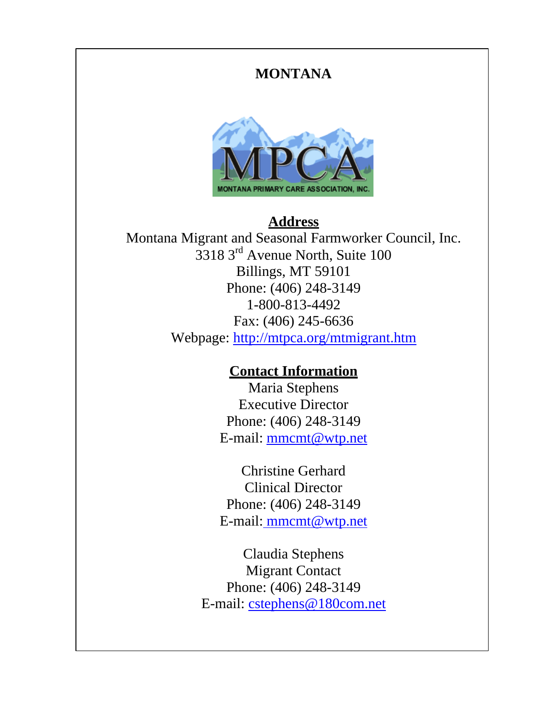#### **MONTANA**



### **Address**

Montana Migrant and Seasonal Farmworker Council, Inc. 3318 3 rd Avenue North, Suite 100 Billings, MT 59101 Phone: (406) 248-3149 1-800-813-4492 Fax: (406) 245-6636 Webpage:<http://mtpca.org/mtmigrant.htm>

#### **Contact Information**

Maria Stephens Executive Director Phone: (406) 248-3149 E-mail: [mmcmt@wtp.net](mailto:mmcmt@wtp.net)

Christine Gerhard Clinical Director Phone: (406) 248-3149 E-mail: [mmcmt@wtp.net](mailto:mmcmt@wtp.net)

Claudia Stephens Migrant Contact Phone: (406) 248-3149 E-mail: [cstephens@180com.net](mailto:cstephens@180com.net)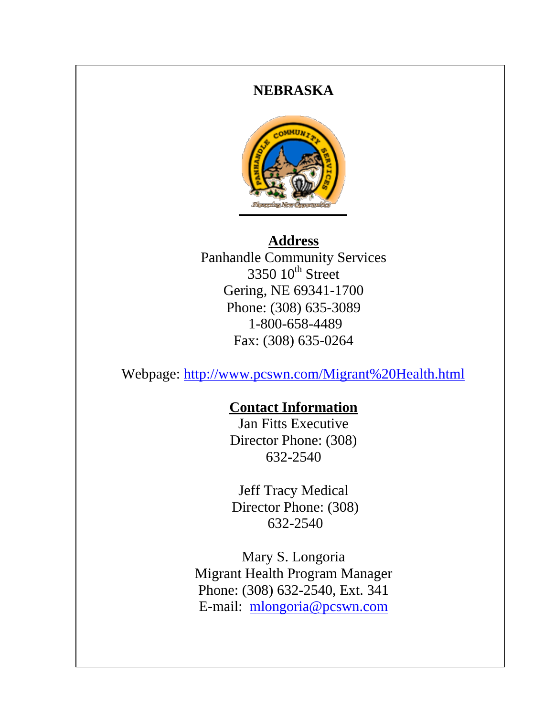#### **NEBRASKA**



#### **Address**

Panhandle Community Services  $3350$   $10^{\text{th}}$  Street Gering, NE 69341-1700 Phone: (308) 635-3089 1-800-658-4489 Fax: (308) 635-0264

Webpage:<http://www.pcswn.com/Migrant%20Health.html>

#### **Contact Information**

Jan Fitts Executive Director Phone: (308) 632-2540

Jeff Tracy Medical Director Phone: (308) 632-2540

Mary S. Longoria Migrant Health Program Manager Phone: (308) 632-2540, Ext. 341 E-mail: [mlongoria@pcswn.com](mailto:mlongoria@pcswn.com)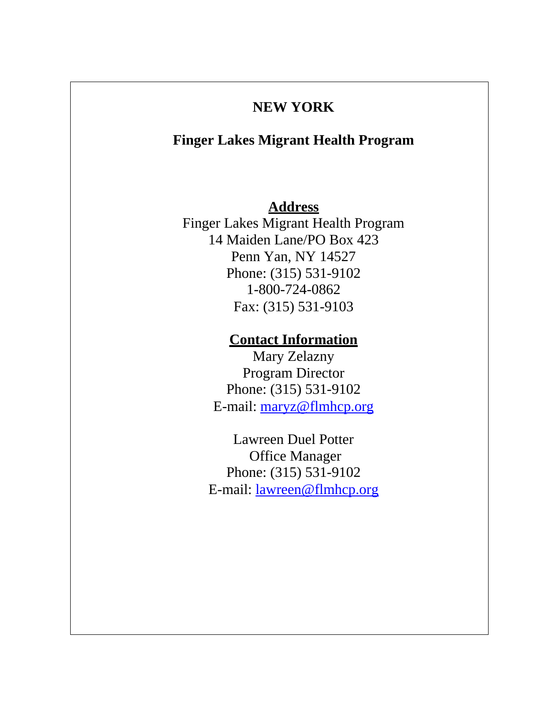#### **NEW YORK**

#### **Finger Lakes Migrant Health Program**

#### **Address**

Finger Lakes Migrant Health Program 14 Maiden Lane/PO Box 423 Penn Yan, NY 14527 Phone: (315) 531-9102 1-800-724-0862 Fax: (315) 531-9103

#### **Contact Information**

Mary Zelazny Program Director Phone: (315) 531-9102 E-mail: [maryz@flmhcp.org](mailto:PatR@flmhcp.org)

Lawreen Duel Potter Office Manager Phone: (315) 531-9102 E-mail: [lawreen@flmhcp.org](mailto:lawreen@flmhcp.org)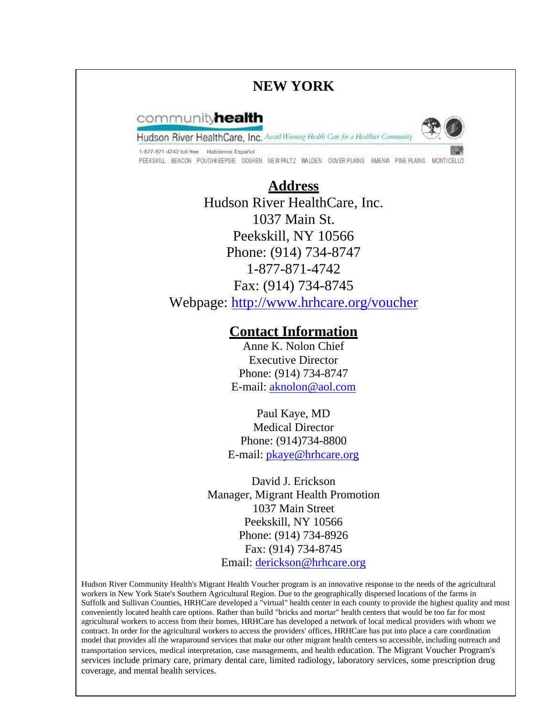#### **NEW YORK**

#### communityhealth

Hudson River HealthCare, Inc. Award Wanning Health Care for a Healthier Community



1-877-871-4742 toll free Hablamos Español PEEKSKILL BEACON POUGHKEEPSIE GOSHEN NEWPALTZ WALDEN DOVERPLAINS AMENIA PINEPLAINS MONTICELLO

#### **Address** Hudson River HealthCare, Inc. 1037 Main St.

Peekskill, NY 10566 Phone: (914) 734-8747 1-877-871-4742 Fax: (914) 734-8745 Webpage:<http://www.hrhcare.org/voucher>

#### **Contact Information**

Anne K. Nolon Chief Executive Director Phone: (914) 734-8747 E-mail: [aknolon@aol.com](mailto:aknolon@aol.com)

Paul Kaye, MD Medical Director Phone: (914)734-8800 E-mail: [pkaye@hrhcare.org](mailto:pkaye@hrhcare.org)

David J. Erickson Manager, Migrant Health Promotion 1037 Main Street Peekskill, NY 10566 Phone: (914) 734-8926 Fax: (914) 734-8745 Email: [derickson@hrhcare.org](mailto:derickson@hrhcare.org)

Hudson River Community Health's Migrant Health Voucher program is an innovative response to the needs of the agricultural workers in New York State's Southern Agricultural Region. Due to the geographically dispersed locations of the farms in Suffolk and Sullivan Counties, HRHCare developed a "virtual" health center in each county to provide the highest quality and most conveniently located health care options. Rather than build "bricks and mortar" health centers that would be too far for most agricultural workers to access from their homes, HRHCare has developed a network of local medical providers with whom we contract. In order for the agricultural workers to access the providers' offices, HRHCare has put into place a care coordination model that provides all the wraparound services that make our other migrant health centers so accessible, including outreach and transportation services, medical interpretation, case managements, and health education. The Migrant Voucher Program's services include primary care, primary dental care, limited radiology, laboratory services, some prescription drug coverage, and mental health services.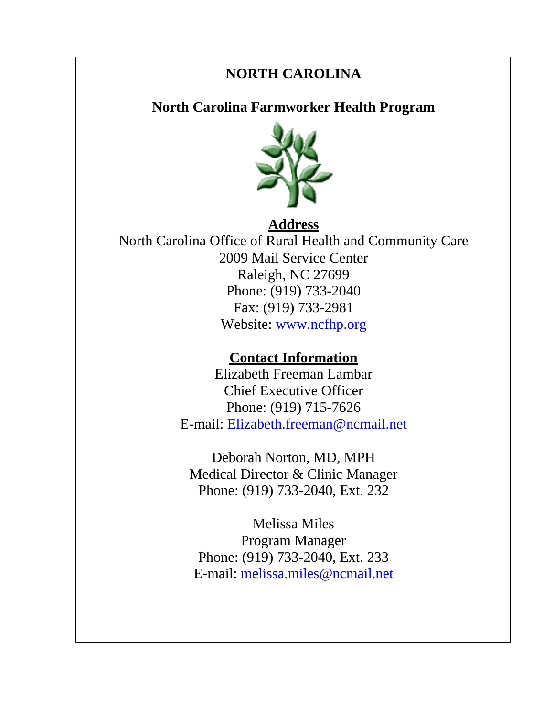### **NORTH CAROLINA**

**North Carolina Farmworker Health Program**



#### **Address** North Carolina Office of Rural Health and Community Care 2009 Mail Service Center Raleigh, NC 27699 Phone: (919) 733-2040 Fax: (919) 733-2981 Website: [www.ncfhp.org](http://www.ncfhp.org/)

#### **Contact Information**

Elizabeth Freeman Lambar Chief Executive Officer Phone: (919) 715-7626 E-mail: [Elizabeth.freeman@ncmail.net](mailto:Elizabeth.freeman!@ncmail.net)

Deborah Norton, MD, MPH Medical Director & Clinic Manager Phone: (919) 733-2040, Ext. 232

Melissa Miles Program Manager Phone: (919) 733-2040, Ext. 233 E-mail: [melissa.miles@ncmail.net](mailto:melissa.miles@ncmail.net)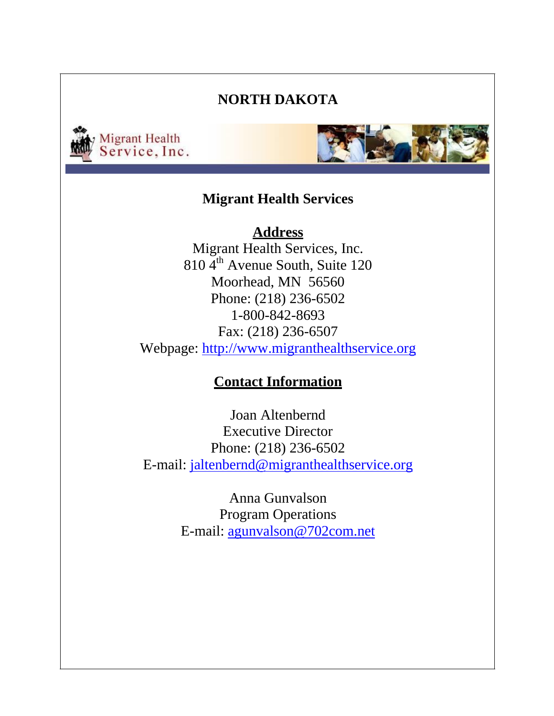#### **NORTH DAKOTA**





#### **Migrant Health Services**

#### **Address**

Migrant Health Services, Inc. 810 4<sup>th</sup> Avenue South, Suite 120 Moorhead, MN 56560 Phone: (218) 236-6502 1-800-842-8693 Fax: (218) 236-6507 Webpage: [http://www.migranthealthservice.org](http://www.migranthealthservice.org/)

#### **Contact Information**

Joan Altenbernd Executive Director Phone: (218) 236-6502 E-mail: [jaltenbernd@migranthealthservice.org](mailto:jaltenbernd@migranthealthservice.org)

> Anna Gunvalson Program Operations E-mail: [agunvalson@702com.net](mailto:agunvalson@702com.net)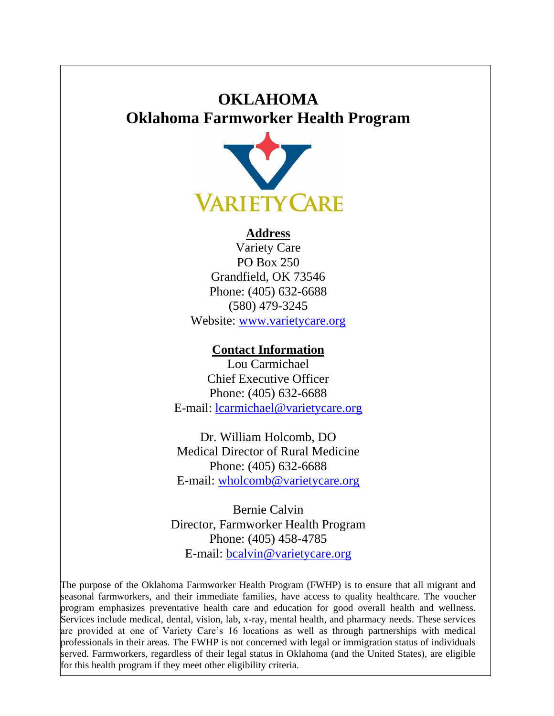### **OKLAHOMA Oklahoma Farmworker Health Program**



#### **Address**

Variety Care PO Box 250 Grandfield, OK 73546 Phone: (405) 632-6688 (580) 479-3245 Website: [www.varietycare.org](http://www.varietycare.org/)

#### **Contact Information**

Lou Carmichael Chief Executive Officer Phone: (405) 632-6688 E-mail: [lcarmichael@varietycare.org](mailto:lcarmichael@varietycare.org)

Dr. William Holcomb, DO Medical Director of Rural Medicine Phone: (405) 632-6688 E-mail: [wholcomb@varietycare.org](mailto:wholcomb@varietycare.org)

Bernie Calvin Director, Farmworker Health Program Phone: (405) 458-4785 E-mail: [bcalvin@varietycare.org](mailto:bcalvin@varietycare.org)

The purpose of the Oklahoma Farmworker Health Program (FWHP) is to ensure that all migrant and seasonal farmworkers, and their immediate families, have access to quality healthcare. The voucher program emphasizes preventative health care and education for good overall health and wellness. Services include medical, dental, vision, lab, x-ray, mental health, and pharmacy needs. These services are provided at one of Variety Care's 16 locations as well as through partnerships with medical professionals in their areas. The FWHP is not concerned with legal or immigration status of individuals served. Farmworkers, regardless of their legal status in Oklahoma (and the United States), are eligible for this health program if they meet other eligibility criteria.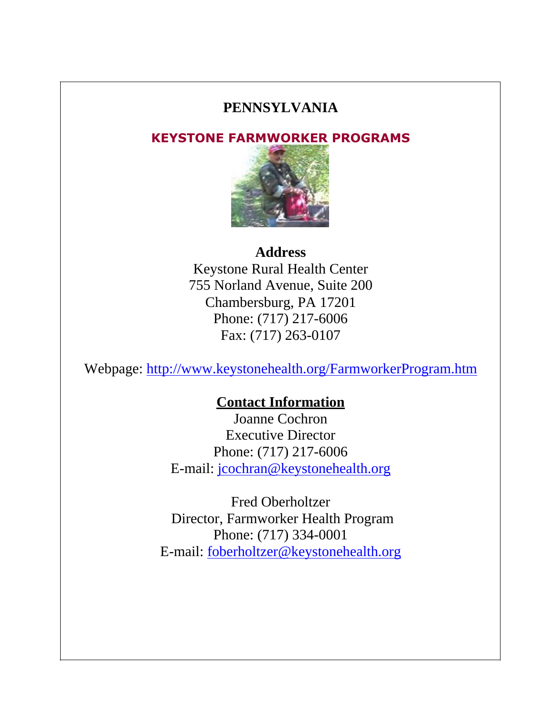#### **PENNSYLVANIA**

#### **KEYSTONE FARMWORKER PROGRAMS**



#### **Address**

Keystone Rural Health Center 755 Norland Avenue, Suite 200 Chambersburg, PA 17201 Phone: (717) 217-6006 Fax: (717) 263-0107

Webpage:<http://www.keystonehealth.org/FarmworkerProgram.htm>

#### **Contact Information**

Joanne Cochron Executive Director Phone: (717) 217-6006 E-mail: [jcochran@keystonehealth.org](mailto:jcochran@cvns.net)

Fred Oberholtzer Director, Farmworker Health Program Phone: (717) 334-0001 E-mail: [foberholtzer@keystonehealth.org](mailto:foberholtzer@keystonehealth.org)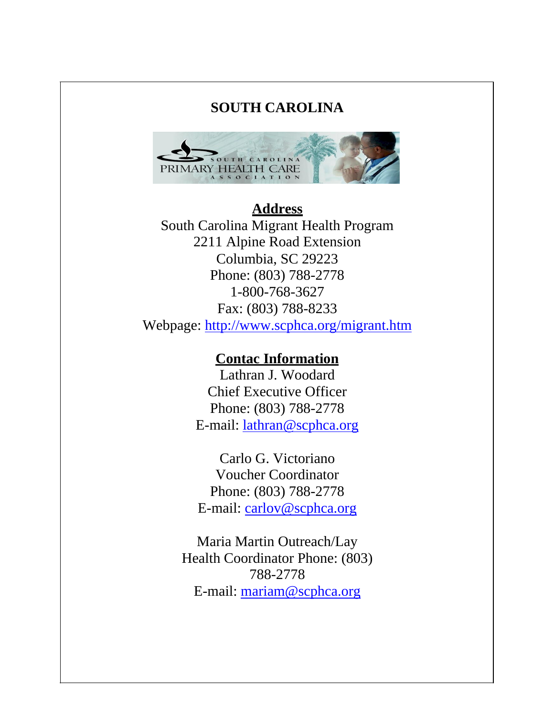#### **SOUTH CAROLINA**



#### **Address** South Carolina Migrant Health Program 2211 Alpine Road Extension Columbia, SC 29223 Phone: (803) 788-2778 1-800-768-3627 Fax: (803) 788-8233 Webpage:<http://www.scphca.org/migrant.htm>

#### **Contac Information**

Lathran J. Woodard Chief Executive Officer Phone: (803) 788-2778 E-mail: [lathran@scphca.org](mailto:lathran@scphca.org)

Carlo G. Victoriano Voucher Coordinator Phone: (803) 788-2778 E-mail: [carlov@scphca.org](mailto:carlov@scphca.org)

Maria Martin Outreach/Lay Health Coordinator Phone: (803) 788-2778 E-mail: [mariam@scphca.org](mailto:mariam@scphca.org)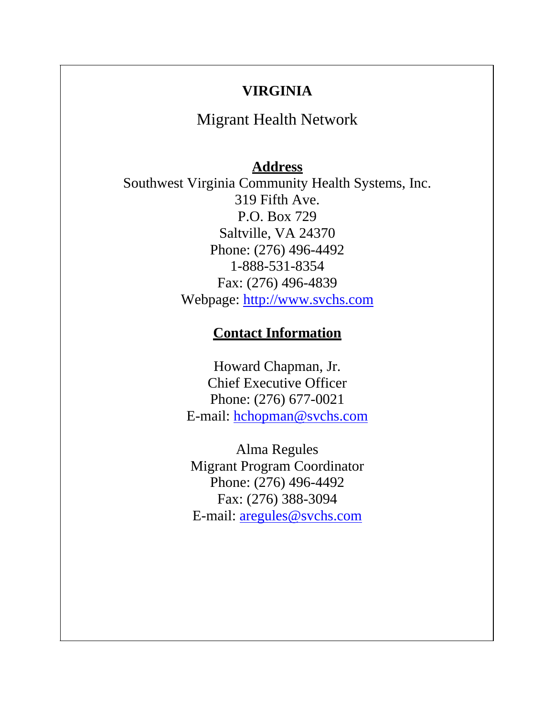#### **VIRGINIA**

Migrant Health Network

#### **Address**

Southwest Virginia Community Health Systems, Inc. 319 Fifth Ave. P.O. Box 729 Saltville, VA 24370 Phone: (276) 496-4492 1-888-531-8354 Fax: (276) 496-4839 Webpage: [http://www.svchs.com](http://www.svchs.com/)

#### **Contact Information**

Howard Chapman, Jr. Chief Executive Officer Phone: (276) 677-0021 E-mail: [hchopman@svchs.com](mailto:hchopman@svchs.com)

Alma Regules Migrant Program Coordinator Phone: (276) 496-4492 Fax: (276) 388-3094 E-mail: [aregules@svchs.com](mailto:aregules@svchs.com)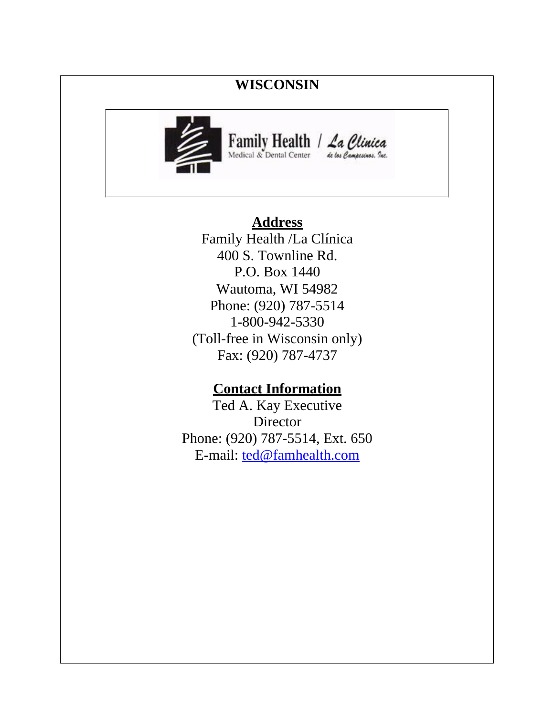#### **WISCONSIN**



# Family Health / La Clinica

#### **Address**

Family Health /La Clínica 400 S. Townline Rd. P.O. Box 1440 Wautoma, WI 54982 Phone: (920) 787-5514 1-800-942-5330 (Toll-free in Wisconsin only) Fax: (920) 787-4737

#### **Contact Information**

Ted A. Kay Executive **Director** Phone: (920) 787-5514, Ext. 650 E-mail: [ted@famhealth.com](mailto:ted@famhealth.com)